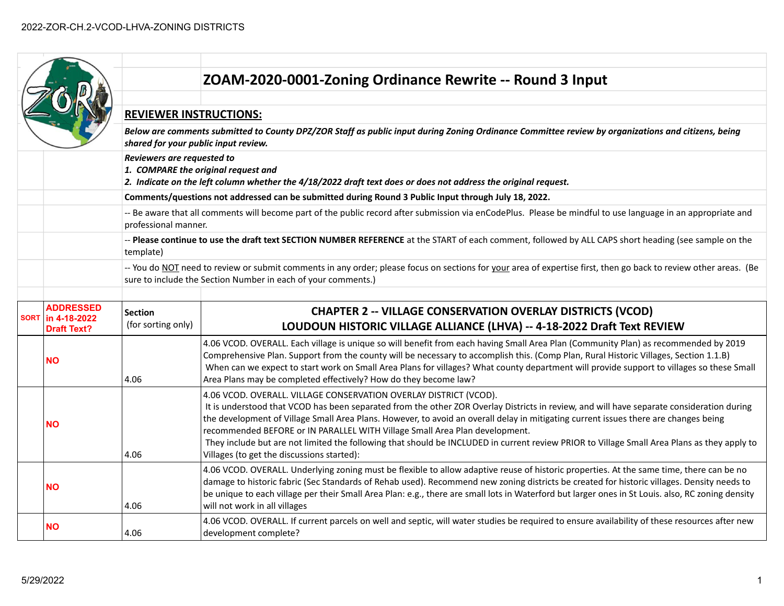|  |                                                               |                                                                                                                                                                                                                                                                                                                                                                                   | ZOAM-2020-0001-Zoning Ordinance Rewrite -- Round 3 Input                                                                                                                                                                                                                                                                                                                                                                                                                                                                                                                                                                           |  |  |  |
|--|---------------------------------------------------------------|-----------------------------------------------------------------------------------------------------------------------------------------------------------------------------------------------------------------------------------------------------------------------------------------------------------------------------------------------------------------------------------|------------------------------------------------------------------------------------------------------------------------------------------------------------------------------------------------------------------------------------------------------------------------------------------------------------------------------------------------------------------------------------------------------------------------------------------------------------------------------------------------------------------------------------------------------------------------------------------------------------------------------------|--|--|--|
|  |                                                               | <b>REVIEWER INSTRUCTIONS:</b>                                                                                                                                                                                                                                                                                                                                                     |                                                                                                                                                                                                                                                                                                                                                                                                                                                                                                                                                                                                                                    |  |  |  |
|  |                                                               | Below are comments submitted to County DPZ/ZOR Staff as public input during Zoning Ordinance Committee review by organizations and citizens, being<br>shared for your public input review.<br>Reviewers are requested to<br>1. COMPARE the original request and<br>2. Indicate on the left column whether the 4/18/2022 draft text does or does not address the original request. |                                                                                                                                                                                                                                                                                                                                                                                                                                                                                                                                                                                                                                    |  |  |  |
|  |                                                               |                                                                                                                                                                                                                                                                                                                                                                                   |                                                                                                                                                                                                                                                                                                                                                                                                                                                                                                                                                                                                                                    |  |  |  |
|  |                                                               |                                                                                                                                                                                                                                                                                                                                                                                   | Comments/questions not addressed can be submitted during Round 3 Public Input through July 18, 2022.                                                                                                                                                                                                                                                                                                                                                                                                                                                                                                                               |  |  |  |
|  |                                                               | -- Be aware that all comments will become part of the public record after submission via enCodePlus. Please be mindful to use language in an appropriate and<br>professional manner.                                                                                                                                                                                              |                                                                                                                                                                                                                                                                                                                                                                                                                                                                                                                                                                                                                                    |  |  |  |
|  |                                                               | -- Please continue to use the draft text SECTION NUMBER REFERENCE at the START of each comment, followed by ALL CAPS short heading (see sample on the<br>template)                                                                                                                                                                                                                |                                                                                                                                                                                                                                                                                                                                                                                                                                                                                                                                                                                                                                    |  |  |  |
|  |                                                               | -- You do NOT need to review or submit comments in any order; please focus on sections for your area of expertise first, then go back to review other areas. (Be<br>sure to include the Section Number in each of your comments.)                                                                                                                                                 |                                                                                                                                                                                                                                                                                                                                                                                                                                                                                                                                                                                                                                    |  |  |  |
|  | <b>ADDRESSED</b><br>SORT   in 4-18-2022<br><b>Draft Text?</b> | <b>Section</b><br>(for sorting only)                                                                                                                                                                                                                                                                                                                                              | <b>CHAPTER 2 -- VILLAGE CONSERVATION OVERLAY DISTRICTS (VCOD)</b><br>LOUDOUN HISTORIC VILLAGE ALLIANCE (LHVA) -- 4-18-2022 Draft Text REVIEW                                                                                                                                                                                                                                                                                                                                                                                                                                                                                       |  |  |  |
|  | <b>NO</b>                                                     | 4.06                                                                                                                                                                                                                                                                                                                                                                              | 4.06 VCOD. OVERALL. Each village is unique so will benefit from each having Small Area Plan (Community Plan) as recommended by 2019<br>Comprehensive Plan. Support from the county will be necessary to accomplish this. (Comp Plan, Rural Historic Villages, Section 1.1.B)<br>When can we expect to start work on Small Area Plans for villages? What county department will provide support to villages so these Small<br>Area Plans may be completed effectively? How do they become law?                                                                                                                                      |  |  |  |
|  | <b>NO</b>                                                     | 4.06                                                                                                                                                                                                                                                                                                                                                                              | 4.06 VCOD. OVERALL. VILLAGE CONSERVATION OVERLAY DISTRICT (VCOD).<br>It is understood that VCOD has been separated from the other ZOR Overlay Districts in review, and will have separate consideration during<br>the development of Village Small Area Plans. However, to avoid an overall delay in mitigating current issues there are changes being<br>recommended BEFORE or IN PARALLEL WITH Village Small Area Plan development.<br>They include but are not limited the following that should be INCLUDED in current review PRIOR to Village Small Area Plans as they apply to<br>Villages (to get the discussions started): |  |  |  |
|  | NΟ                                                            | 4.06                                                                                                                                                                                                                                                                                                                                                                              | 4.06 VCOD. OVERALL. Underlying zoning must be flexible to allow adaptive reuse of historic properties. At the same time, there can be no<br>damage to historic fabric (Sec Standards of Rehab used). Recommend new zoning districts be created for historic villages. Density needs to<br>be unique to each village per their Small Area Plan: e.g., there are small lots in Waterford but larger ones in St Louis. also, RC zoning density<br>will not work in all villages                                                                                                                                                       |  |  |  |
|  |                                                               |                                                                                                                                                                                                                                                                                                                                                                                   |                                                                                                                                                                                                                                                                                                                                                                                                                                                                                                                                                                                                                                    |  |  |  |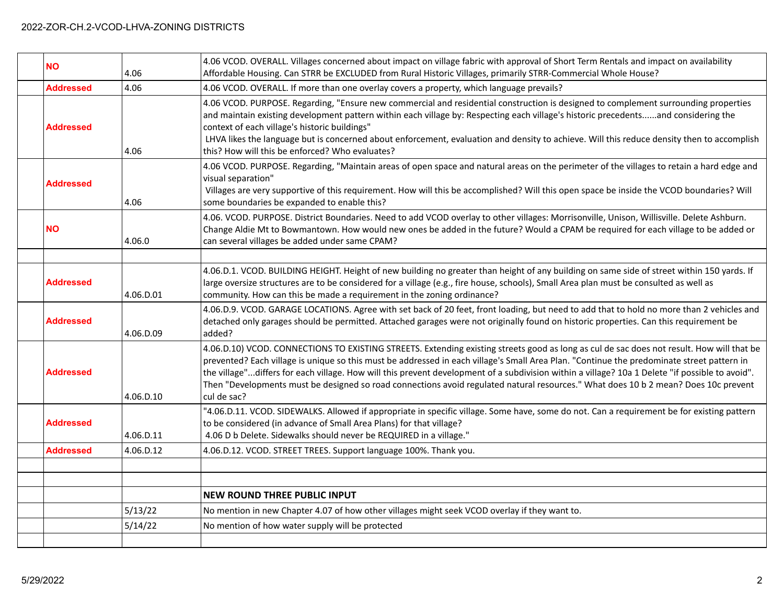| <b>NO</b>        | 4.06      | 4.06 VCOD. OVERALL. Villages concerned about impact on village fabric with approval of Short Term Rentals and impact on availability<br>Affordable Housing. Can STRR be EXCLUDED from Rural Historic Villages, primarily STRR-Commercial Whole House?                                                                                                                                                                                                                                                                                                                                            |
|------------------|-----------|--------------------------------------------------------------------------------------------------------------------------------------------------------------------------------------------------------------------------------------------------------------------------------------------------------------------------------------------------------------------------------------------------------------------------------------------------------------------------------------------------------------------------------------------------------------------------------------------------|
| <b>Addressed</b> | 4.06      | 4.06 VCOD. OVERALL. If more than one overlay covers a property, which language prevails?                                                                                                                                                                                                                                                                                                                                                                                                                                                                                                         |
| <b>Addressed</b> | 4.06      | 4.06 VCOD. PURPOSE. Regarding, "Ensure new commercial and residential construction is designed to complement surrounding properties<br>and maintain existing development pattern within each village by: Respecting each village's historic precedentsand considering the<br>context of each village's historic buildings"<br>LHVA likes the language but is concerned about enforcement, evaluation and density to achieve. Will this reduce density then to accomplish<br>this? How will this be enforced? Who evaluates?                                                                      |
| <b>Addressed</b> | 4.06      | 4.06 VCOD. PURPOSE. Regarding, "Maintain areas of open space and natural areas on the perimeter of the villages to retain a hard edge and<br>visual separation"<br>Villages are very supportive of this requirement. How will this be accomplished? Will this open space be inside the VCOD boundaries? Will<br>some boundaries be expanded to enable this?                                                                                                                                                                                                                                      |
| <b>NO</b>        | 4.06.0    | 4.06. VCOD. PURPOSE. District Boundaries. Need to add VCOD overlay to other villages: Morrisonville, Unison, Willisville. Delete Ashburn.<br>Change Aldie Mt to Bowmantown. How would new ones be added in the future? Would a CPAM be required for each village to be added or<br>can several villages be added under same CPAM?                                                                                                                                                                                                                                                                |
|                  |           |                                                                                                                                                                                                                                                                                                                                                                                                                                                                                                                                                                                                  |
| <b>Addressed</b> | 4.06.D.01 | 4.06.D.1. VCOD. BUILDING HEIGHT. Height of new building no greater than height of any building on same side of street within 150 yards. If<br>large oversize structures are to be considered for a village (e.g., fire house, schools), Small Area plan must be consulted as well as<br>community. How can this be made a requirement in the zoning ordinance?                                                                                                                                                                                                                                   |
| <b>Addressed</b> | 4.06.D.09 | 4.06.D.9. VCOD. GARAGE LOCATIONS. Agree with set back of 20 feet, front loading, but need to add that to hold no more than 2 vehicles and<br>detached only garages should be permitted. Attached garages were not originally found on historic properties. Can this requirement be<br>added?                                                                                                                                                                                                                                                                                                     |
| <b>Addressed</b> | 4.06.D.10 | 4.06.D.10) VCOD. CONNECTIONS TO EXISTING STREETS. Extending existing streets good as long as cul de sac does not result. How will that be<br>prevented? Each village is unique so this must be addressed in each village's Small Area Plan. "Continue the predominate street pattern in<br>the village"differs for each village. How will this prevent development of a subdivision within a village? 10a 1 Delete "if possible to avoid".<br>Then "Developments must be designed so road connections avoid regulated natural resources." What does 10 b 2 mean? Does 10c prevent<br>cul de sac? |
| <b>Addressed</b> | 4.06.D.11 | '4.06.D.11. VCOD. SIDEWALKS. Allowed if appropriate in specific village. Some have, some do not. Can a requirement be for existing pattern<br>to be considered (in advance of Small Area Plans) for that village?<br>4.06 D b Delete. Sidewalks should never be REQUIRED in a village."                                                                                                                                                                                                                                                                                                          |
| <b>Addressed</b> | 4.06.D.12 | 4.06.D.12. VCOD. STREET TREES. Support language 100%. Thank you.                                                                                                                                                                                                                                                                                                                                                                                                                                                                                                                                 |
|                  |           |                                                                                                                                                                                                                                                                                                                                                                                                                                                                                                                                                                                                  |
|                  |           |                                                                                                                                                                                                                                                                                                                                                                                                                                                                                                                                                                                                  |
|                  |           | <b>NEW ROUND THREE PUBLIC INPUT</b>                                                                                                                                                                                                                                                                                                                                                                                                                                                                                                                                                              |
|                  | 5/13/22   | No mention in new Chapter 4.07 of how other villages might seek VCOD overlay if they want to.                                                                                                                                                                                                                                                                                                                                                                                                                                                                                                    |
|                  | 5/14/22   | No mention of how water supply will be protected                                                                                                                                                                                                                                                                                                                                                                                                                                                                                                                                                 |
|                  |           |                                                                                                                                                                                                                                                                                                                                                                                                                                                                                                                                                                                                  |